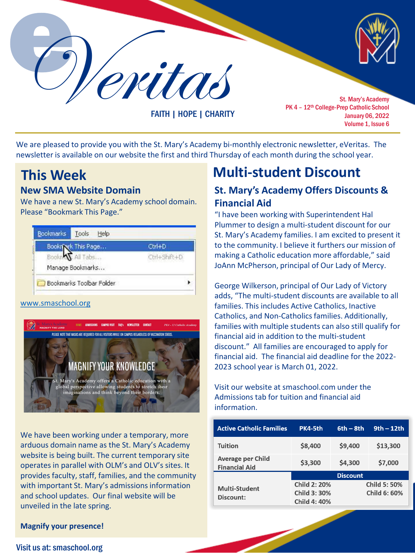Veritas St. Mary's Academy

FAITH | HOPE | CHARITY

PK 4 - 12<sup>th</sup> College-Prep Catholic School January 06, 2022 Volume 1, Issue 6

We are pleased to provide you with the St. Mary's Academy bi-monthly electronic newsletter, eVeritas. The newsletter is available on our website the first and third Thursday of each month during the school year.

## **New SMA Website Domain**

We have a new St. Mary's Academy school domain. Please "Bookmark This Page."

| <b>Bookn</b> | k This Page      | Ctrl+D       |  |
|--------------|------------------|--------------|--|
| All Tabs     |                  | Ctrl+Shift+D |  |
|              | Manage Bookmarks |              |  |

## [www.smaschool.org](http://www.smaschool.org/)



We have been working under a temporary, more arduous domain name as the St. Mary's Academy website is being built. The current temporary site operates in parallel with OLM's and OLV's sites. It provides faculty, staff, families, and the community with important St. Mary's admissions information and school updates. Our final website will be unveiled in the late spring.

# **This Week Multi-student Discount**

## **St. Mary's Academy Offers Discounts & Financial Aid**

"I have been working with Superintendent Hal Plummer to design a multi-student discount for our St. Mary's Academy families. I am excited to present it to the community. I believe it furthers our mission of making a Catholic education more affordable," said JoAnn McPherson, principal of Our Lady of Mercy.

George Wilkerson, principal of Our Lady of Victory adds, "The multi-student discounts are available to all families. This includes Active Catholics, Inactive Catholics, and Non-Catholics families. Additionally, families with multiple students can also still qualify for financial aid in addition to the multi-student discount." All families are encouraged to apply for financial aid. The financial aid deadline for the 2022- 2023 school year is March 01, 2022.

Visit our website at smaschool.com under the Admissions tab for tuition and financial aid information.

| <b>Active Catholic Families</b>           | PK4-5th             | $6th - 8th$ | $9th - 12th$        |
|-------------------------------------------|---------------------|-------------|---------------------|
| <b>Tuition</b>                            | \$8,400             | \$9,400     | \$13,300            |
| Average per Child<br><b>Financial Aid</b> | \$3,300             | \$4,300     | \$7,000             |
|                                           | <b>Discount</b>     |             |                     |
| <b>Multi-Student</b>                      | <b>Child 2: 20%</b> |             | <b>Child 5: 50%</b> |
| Discount:                                 | Child 3: 30%        |             | Child 6: 60%        |
|                                           | <b>Child 4: 40%</b> |             |                     |

### **Magnify your presence!**

### Visit us at: smaschool.org